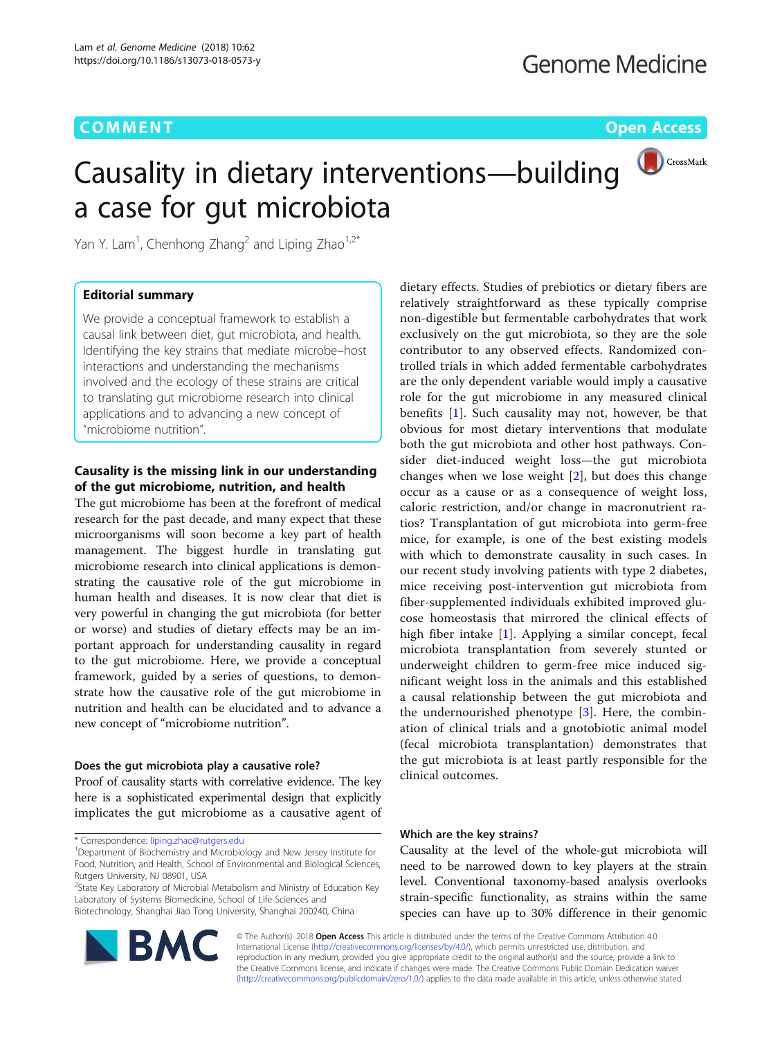# **COMMENT COMMENT COMMENT COMMENT**

CrossMark

# Causality in dietary interventions—building a case for gut microbiota

Yan Y. Lam<sup>1</sup>, Chenhong Zhang<sup>2</sup> and Liping Zhao<sup>1,2\*</sup>

# Editorial summary

We provide a conceptual framework to establish a causal link between diet, gut microbiota, and health. Identifying the key strains that mediate microbe–host interactions and understanding the mechanisms involved and the ecology of these strains are critical to translating gut microbiome research into clinical applications and to advancing a new concept of "microbiome nutrition".

# Causality is the missing link in our understanding of the gut microbiome, nutrition, and health

The gut microbiome has been at the forefront of medical research for the past decade, and many expect that these microorganisms will soon become a key part of health management. The biggest hurdle in translating gut microbiome research into clinical applications is demonstrating the causative role of the gut microbiome in human health and diseases. It is now clear that diet is very powerful in changing the gut microbiota (for better or worse) and studies of dietary effects may be an important approach for understanding causality in regard to the gut microbiome. Here, we provide a conceptual framework, guided by a series of questions, to demonstrate how the causative role of the gut microbiome in nutrition and health can be elucidated and to advance a new concept of "microbiome nutrition".

## Does the gut microbiota play a causative role?

Proof of causality starts with correlative evidence. The key here is a sophisticated experimental design that explicitly implicates the gut microbiome as a causative agent of

<sup>2</sup>State Key Laboratory of Microbial Metabolism and Ministry of Education Key Laboratory of Systems Biomedicine, School of Life Sciences and Biotechnology, Shanghai Jiao Tong University, Shanghai 200240, China



dietary effects. Studies of prebiotics or dietary fibers are relatively straightforward as these typically comprise non-digestible but fermentable carbohydrates that work exclusively on the gut microbiota, so they are the sole contributor to any observed effects. Randomized controlled trials in which added fermentable carbohydrates are the only dependent variable would imply a causative role for the gut microbiome in any measured clinical benefits [[1\]](#page-2-0). Such causality may not, however, be that obvious for most dietary interventions that modulate both the gut microbiota and other host pathways. Consider diet-induced weight loss—the gut microbiota changes when we lose weight [[2\]](#page-2-0), but does this change occur as a cause or as a consequence of weight loss, caloric restriction, and/or change in macronutrient ratios? Transplantation of gut microbiota into germ-free mice, for example, is one of the best existing models with which to demonstrate causality in such cases. In our recent study involving patients with type 2 diabetes, mice receiving post-intervention gut microbiota from fiber-supplemented individuals exhibited improved glucose homeostasis that mirrored the clinical effects of high fiber intake [[1\]](#page-2-0). Applying a similar concept, fecal microbiota transplantation from severely stunted or underweight children to germ-free mice induced significant weight loss in the animals and this established a causal relationship between the gut microbiota and the undernourished phenotype  $[3]$  $[3]$  $[3]$ . Here, the combination of clinical trials and a gnotobiotic animal model (fecal microbiota transplantation) demonstrates that the gut microbiota is at least partly responsible for the clinical outcomes.

## Which are the key strains?

Causality at the level of the whole-gut microbiota will need to be narrowed down to key players at the strain level. Conventional taxonomy-based analysis overlooks strain-specific functionality, as strains within the same species can have up to 30% difference in their genomic

© The Author(s). 2018 Open Access This article is distributed under the terms of the Creative Commons Attribution 4.0 International License [\(http://creativecommons.org/licenses/by/4.0/](http://creativecommons.org/licenses/by/4.0/)), which permits unrestricted use, distribution, and reproduction in any medium, provided you give appropriate credit to the original author(s) and the source, provide a link to the Creative Commons license, and indicate if changes were made. The Creative Commons Public Domain Dedication waiver [\(http://creativecommons.org/publicdomain/zero/1.0/](http://creativecommons.org/publicdomain/zero/1.0/)) applies to the data made available in this article, unless otherwise stated.

<sup>\*</sup> Correspondence: [liping.zhao@rutgers.edu](mailto:liping.zhao@rutgers.edu) <sup>1</sup>

<sup>&</sup>lt;sup>1</sup>Department of Biochemistry and Microbiology and New Jersey Institute for Food, Nutrition, and Health, School of Environmental and Biological Sciences, Rutgers University, NJ 08901, USA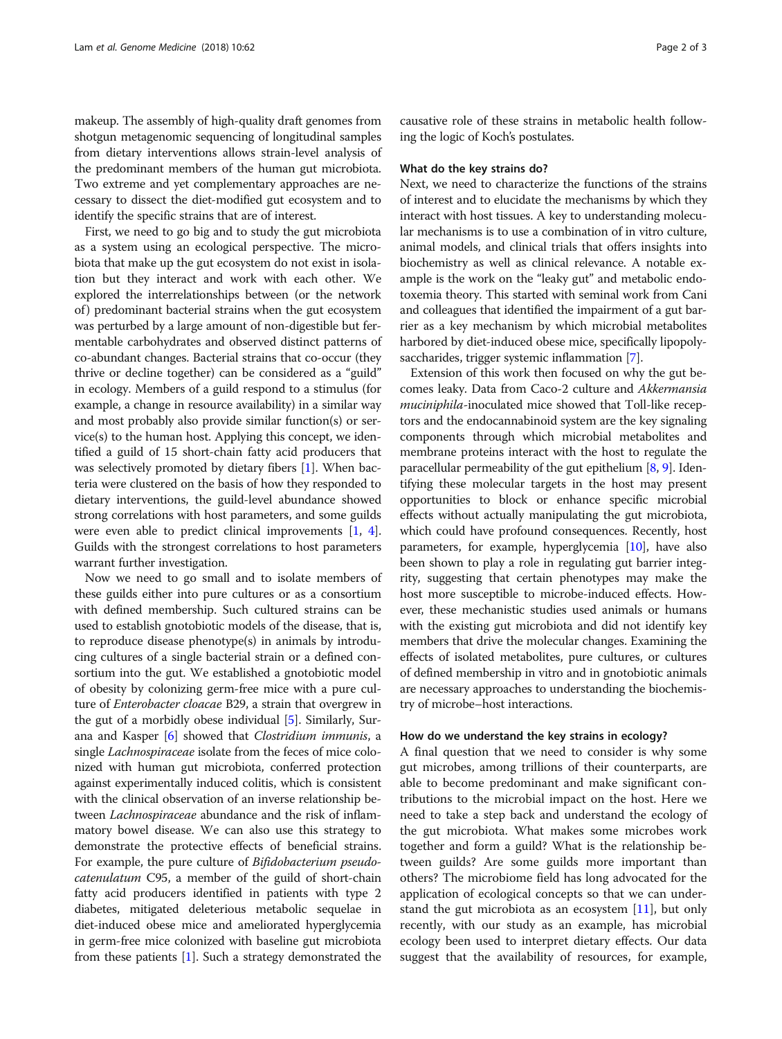makeup. The assembly of high-quality draft genomes from shotgun metagenomic sequencing of longitudinal samples from dietary interventions allows strain-level analysis of the predominant members of the human gut microbiota. Two extreme and yet complementary approaches are necessary to dissect the diet-modified gut ecosystem and to identify the specific strains that are of interest.

First, we need to go big and to study the gut microbiota as a system using an ecological perspective. The microbiota that make up the gut ecosystem do not exist in isolation but they interact and work with each other. We explored the interrelationships between (or the network of ) predominant bacterial strains when the gut ecosystem was perturbed by a large amount of non-digestible but fermentable carbohydrates and observed distinct patterns of co-abundant changes. Bacterial strains that co-occur (they thrive or decline together) can be considered as a "guild" in ecology. Members of a guild respond to a stimulus (for example, a change in resource availability) in a similar way and most probably also provide similar function(s) or service(s) to the human host. Applying this concept, we identified a guild of 15 short-chain fatty acid producers that was selectively promoted by dietary fibers [\[1](#page-2-0)]. When bacteria were clustered on the basis of how they responded to dietary interventions, the guild-level abundance showed strong correlations with host parameters, and some guilds were even able to predict clinical improvements [[1,](#page-2-0) [4](#page-2-0)]. Guilds with the strongest correlations to host parameters warrant further investigation.

Now we need to go small and to isolate members of these guilds either into pure cultures or as a consortium with defined membership. Such cultured strains can be used to establish gnotobiotic models of the disease, that is, to reproduce disease phenotype(s) in animals by introducing cultures of a single bacterial strain or a defined consortium into the gut. We established a gnotobiotic model of obesity by colonizing germ-free mice with a pure culture of Enterobacter cloacae B29, a strain that overgrew in the gut of a morbidly obese individual [\[5](#page-2-0)]. Similarly, Surana and Kasper [[6\]](#page-2-0) showed that Clostridium immunis, a single Lachnospiraceae isolate from the feces of mice colonized with human gut microbiota, conferred protection against experimentally induced colitis, which is consistent with the clinical observation of an inverse relationship between Lachnospiraceae abundance and the risk of inflammatory bowel disease. We can also use this strategy to demonstrate the protective effects of beneficial strains. For example, the pure culture of Bifidobacterium pseudocatenulatum C95, a member of the guild of short-chain fatty acid producers identified in patients with type 2 diabetes, mitigated deleterious metabolic sequelae in diet-induced obese mice and ameliorated hyperglycemia in germ-free mice colonized with baseline gut microbiota from these patients [\[1](#page-2-0)]. Such a strategy demonstrated the

causative role of these strains in metabolic health following the logic of Koch's postulates.

#### What do the key strains do?

Next, we need to characterize the functions of the strains of interest and to elucidate the mechanisms by which they interact with host tissues. A key to understanding molecular mechanisms is to use a combination of in vitro culture, animal models, and clinical trials that offers insights into biochemistry as well as clinical relevance. A notable example is the work on the "leaky gut" and metabolic endotoxemia theory. This started with seminal work from Cani and colleagues that identified the impairment of a gut barrier as a key mechanism by which microbial metabolites harbored by diet-induced obese mice, specifically lipopolysaccharides, trigger systemic inflammation [\[7\]](#page-2-0).

Extension of this work then focused on why the gut becomes leaky. Data from Caco-2 culture and Akkermansia muciniphila-inoculated mice showed that Toll-like receptors and the endocannabinoid system are the key signaling components through which microbial metabolites and membrane proteins interact with the host to regulate the paracellular permeability of the gut epithelium [\[8,](#page-2-0) [9](#page-2-0)]. Identifying these molecular targets in the host may present opportunities to block or enhance specific microbial effects without actually manipulating the gut microbiota, which could have profound consequences. Recently, host parameters, for example, hyperglycemia [[10](#page-2-0)], have also been shown to play a role in regulating gut barrier integrity, suggesting that certain phenotypes may make the host more susceptible to microbe-induced effects. However, these mechanistic studies used animals or humans with the existing gut microbiota and did not identify key members that drive the molecular changes. Examining the effects of isolated metabolites, pure cultures, or cultures of defined membership in vitro and in gnotobiotic animals are necessary approaches to understanding the biochemistry of microbe–host interactions.

## How do we understand the key strains in ecology?

A final question that we need to consider is why some gut microbes, among trillions of their counterparts, are able to become predominant and make significant contributions to the microbial impact on the host. Here we need to take a step back and understand the ecology of the gut microbiota. What makes some microbes work together and form a guild? What is the relationship between guilds? Are some guilds more important than others? The microbiome field has long advocated for the application of ecological concepts so that we can understand the gut microbiota as an ecosystem  $[11]$ , but only recently, with our study as an example, has microbial ecology been used to interpret dietary effects. Our data suggest that the availability of resources, for example,